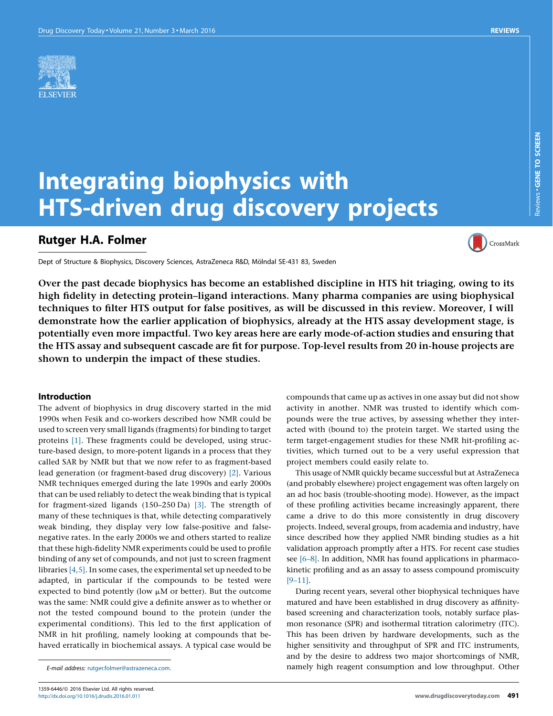

# Integrating biophysics with HTS-driven drug discovery projects

## Rutger H.A. Folmer

Dept of Structure & Biophysics, Discovery Sciences, AstraZeneca R&D, Mölndal SE-431 83, Sweden

Over the past decade biophysics has become an established discipline in HTS hit triaging, owing to its high fidelity in detecting protein–ligand interactions. Many pharma companies are using biophysical techniques to filter HTS output for false positives, as will be discussed in this review. Moreover, I will demonstrate how the earlier application of biophysics, already at the HTS assay development stage, is potentially even more impactful. Two key areas here are early mode-of-action studies and ensuring that the HTS assay and subsequent cascade are fit for purpose. Top-level results from 20 in-house projects are shown to underpin the impact of these studies.

## Introduction

The advent of biophysics in drug discovery started in the mid 1990s when Fesik and co-workers described how NMR could be used to screen very small ligands (fragments) for binding to target proteins [\[1\].](#page-7-0) These fragments could be developed, using structure-based design, to more-potent ligands in a process that they called SAR by NMR but that we now refer to as fragment-based lead generation (or fragment-based drug discovery) [\[2\]](#page-7-0). Various NMR techniques emerged during the late 1990s and early 2000s that can be used reliably to detect the weak binding that is typical for fragment-sized ligands (150–250 Da) [\[3\]](#page-7-0). The strength of many of these techniques is that, while detecting comparatively weak binding, they display very low false-positive and falsenegative rates. In the early 2000s we and others started to realize that these high-fidelity NMR experiments could be used to profile binding of any set of compounds, and not just to screen fragment libraries [\[4,5\].](#page-7-0) In some cases, the experimental set up needed to be adapted, in particular if the compounds to be tested were expected to bind potently (low  $\mu$ M or better). But the outcome was the same: NMR could give a definite answer as to whether or not the tested compound bound to the protein (under the experimental conditions). This led to the first application of NMR in hit profiling, namely looking at compounds that behaved erratically in biochemical assays. A typical case would be compounds that came up as actives in one assay but did not show activity in another. NMR was trusted to identify which compounds were the true actives, by assessing whether they interacted with (bound to) the protein target. We started using the term target-engagement studies for these NMR hit-profiling activities, which turned out to be a very useful expression that project members could easily relate to.

This usage of NMR quickly became successful but at AstraZeneca (and probably elsewhere) project engagement was often largely on an ad hoc basis (trouble-shooting mode). However, as the impact of these profiling activities became increasingly apparent, there came a drive to do this more consistently in drug discovery projects. Indeed, several groups, from academia and industry, have since described how they applied NMR binding studies as a hit validation approach promptly after a HTS. For recent case studies see [\[6–8\].](#page-7-0) In addition, NMR has found applications in pharmacokinetic profiling and as an assay to assess compound promiscuity [\[9–11\].](#page-7-0)

During recent years, several other biophysical techniques have matured and have been established in drug discovery as affinitybased screening and characterization tools, notably surface plasmon resonance (SPR) and isothermal titration calorimetry (ITC). This has been driven by hardware developments, such as the higher sensitivity and throughput of SPR and ITC instruments, and by the desire to address two major shortcomings of NMR, namely high reagent consumption and low throughput. Other

 $\big)$  CrossMark

E-mail address: [rutger.folmer@astrazeneca.com.](mailto:rutger.folmer@astrazeneca.com)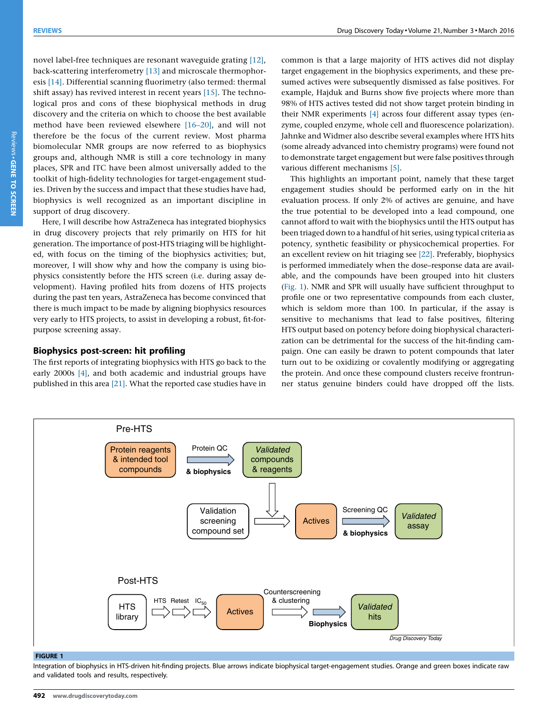novel label-free techniques are resonant waveguide grating [\[12\]](#page-7-0), back-scattering interferometry [\[13\]](#page-7-0) and microscale thermophoresis [\[14\].](#page-7-0) Differential scanning fluorimetry (also termed: thermal shift assay) has revived interest in recent years [\[15\]](#page-7-0). The technological pros and cons of these biophysical methods in drug discovery and the criteria on which to choose the best available method have been reviewed elsewhere [\[16–20\],](#page-7-0) and will not therefore be the focus of the current review. Most pharma biomolecular NMR groups are now referred to as biophysics groups and, although NMR is still a core technology in many places, SPR and ITC have been almost universally added to the toolkit of high-fidelity technologies for target-engagement studies. Driven by the success and impact that these studies have had, biophysics is well recognized as an important discipline in support of drug discovery.

Here, I will describe how AstraZeneca has integrated biophysics in drug discovery projects that rely primarily on HTS for hit generation. The importance of post-HTS triaging will be highlighted, with focus on the timing of the biophysics activities; but, moreover, I will show why and how the company is using biophysics consistently before the HTS screen (i.e. during assay development). Having profiled hits from dozens of HTS projects during the past ten years, AstraZeneca has become convinced that there is much impact to be made by aligning biophysics resources very early to HTS projects, to assist in developing a robust, fit-forpurpose screening assay.

## Biophysics post-screen: hit profiling

The first reports of integrating biophysics with HTS go back to the early 2000s [\[4\],](#page-7-0) and both academic and industrial groups have published in this area [\[21\].](#page-7-0) What the reported case studies have in

common is that a large majority of HTS actives did not display target engagement in the biophysics experiments, and these presumed actives were subsequently dismissed as false positives. For example, Hajduk and Burns show five projects where more than 98% of HTS actives tested did not show target protein binding in their NMR experiments [\[4\]](#page-7-0) across four different assay types (enzyme, coupled enzyme, whole cell and fluorescence polarization). Jahnke and Widmer also describe several examples where HTS hits (some already advanced into chemistry programs) were found not to demonstrate target engagement but were false positives through various different mechanisms [\[5\].](#page-7-0)

This highlights an important point, namely that these target engagement studies should be performed early on in the hit evaluation process. If only 2% of actives are genuine, and have the true potential to be developed into a lead compound, one cannot afford to wait with the biophysics until the HTS output has been triaged down to a handful of hit series, using typical criteria as potency, synthetic feasibility or physicochemical properties. For an excellent review on hit triaging see [\[22\]](#page-7-0). Preferably, biophysics is performed immediately when the dose–response data are available, and the compounds have been grouped into hit clusters (Fig. 1). NMR and SPR will usually have sufficient throughput to profile one or two representative compounds from each cluster, which is seldom more than 100. In particular, if the assay is sensitive to mechanisms that lead to false positives, filtering HTS output based on potency before doing biophysical characterization can be detrimental for the success of the hit-finding campaign. One can easily be drawn to potent compounds that later turn out to be oxidizing or covalently modifying or aggregating the protein. And once these compound clusters receive frontrunner status genuine binders could have dropped off the lists.



#### FIGURE 1

Integration of biophysics in HTS-driven hit-finding projects. Blue arrows indicate biophysical target-engagement studies. Orange and green boxes indicate raw and validated tools and results, respectively.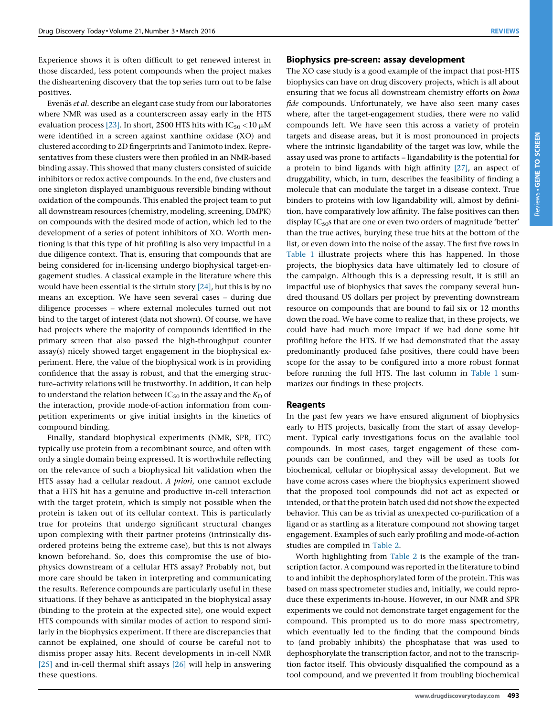Experience shows it is often difficult to get renewed interest in those discarded, less potent compounds when the project makes the disheartening discovery that the top series turn out to be false positives.

Evenäs et al. describe an elegant case study from our laboratories where NMR was used as a counterscreen assay early in the HTS evaluation process [\[23\].](#page-7-0) In short, 2500 HTS hits with  $IC_{50}$  < 10  $\mu$ M were identified in a screen against xanthine oxidase (XO) and clustered according to 2D fingerprints and Tanimoto index. Representatives from these clusters were then profiled in an NMR-based binding assay. This showed that many clusters consisted of suicide inhibitors or redox active compounds. In the end, five clusters and one singleton displayed unambiguous reversible binding without oxidation of the compounds. This enabled the project team to put all downstream resources (chemistry, modeling, screening, DMPK) on compounds with the desired mode of action, which led to the development of a series of potent inhibitors of XO. Worth mentioning is that this type of hit profiling is also very impactful in a due diligence context. That is, ensuring that compounds that are being considered for in-licensing undergo biophysical target-engagement studies. A classical example in the literature where this would have been essential is the sirtuin story [\[24\],](#page-7-0) but this is by no means an exception. We have seen several cases – during due diligence processes – where external molecules turned out not bind to the target of interest (data not shown). Of course, we have had projects where the majority of compounds identified in the primary screen that also passed the high-throughput counter assay(s) nicely showed target engagement in the biophysical experiment. Here, the value of the biophysical work is in providing confidence that the assay is robust, and that the emerging structure–activity relations will be trustworthy. In addition, it can help to understand the relation between  $IC_{50}$  in the assay and the  $K_D$  of the interaction, provide mode-of-action information from competition experiments or give initial insights in the kinetics of compound binding.

Finally, standard biophysical experiments (NMR, SPR, ITC) typically use protein from a recombinant source, and often with only a single domain being expressed. It is worthwhile reflecting on the relevance of such a biophysical hit validation when the HTS assay had a cellular readout. A priori, one cannot exclude that a HTS hit has a genuine and productive in-cell interaction with the target protein, which is simply not possible when the protein is taken out of its cellular context. This is particularly true for proteins that undergo significant structural changes upon complexing with their partner proteins (intrinsically disordered proteins being the extreme case), but this is not always known beforehand. So, does this compromise the use of biophysics downstream of a cellular HTS assay? Probably not, but more care should be taken in interpreting and communicating the results. Reference compounds are particularly useful in these situations. If they behave as anticipated in the biophysical assay (binding to the protein at the expected site), one would expect HTS compounds with similar modes of action to respond similarly in the biophysics experiment. If there are discrepancies that cannot be explained, one should of course be careful not to dismiss proper assay hits. Recent developments in in-cell NMR [\[25\]](#page-7-0) and in-cell thermal shift assays [\[26\]](#page-7-0) will help in answering these questions.

## Biophysics pre-screen: assay development

The XO case study is a good example of the impact that post-HTS biophysics can have on drug discovery projects, which is all about ensuring that we focus all downstream chemistry efforts on bona fide compounds. Unfortunately, we have also seen many cases where, after the target-engagement studies, there were no valid compounds left. We have seen this across a variety of protein targets and disease areas, but it is most pronounced in projects where the intrinsic ligandability of the target was low, while the assay used was prone to artifacts – ligandability is the potential for a protein to bind ligands with high affinity [\[27\],](#page-7-0) an aspect of druggability, which, in turn, describes the feasibility of finding a molecule that can modulate the target in a disease context. True binders to proteins with low ligandability will, almost by definition, have comparatively low affinity. The false positives can then display  $IC_{50}$ s that are one or even two orders of magnitude 'better' than the true actives, burying these true hits at the bottom of the list, or even down into the noise of the assay. The first five rows in [Table](#page-3-0) 1 illustrate projects where this has happened. In those projects, the biophysics data have ultimately led to closure of the campaign. Although this is a depressing result, it is still an impactful use of biophysics that saves the company several hundred thousand US dollars per project by preventing downstream resource on compounds that are bound to fail six or 12 months down the road. We have come to realize that, in these projects, we could have had much more impact if we had done some hit profiling before the HTS. If we had demonstrated that the assay predominantly produced false positives, there could have been scope for the assay to be configured into a more robust format before running the full HTS. The last column in [Table](#page-3-0) 1 summarizes our findings in these projects.

## Reagents

In the past few years we have ensured alignment of biophysics early to HTS projects, basically from the start of assay development. Typical early investigations focus on the available tool compounds. In most cases, target engagement of these compounds can be confirmed, and they will be used as tools for biochemical, cellular or biophysical assay development. But we have come across cases where the biophysics experiment showed that the proposed tool compounds did not act as expected or intended, or that the protein batch used did not show the expected behavior. This can be as trivial as unexpected co-purification of a ligand or as startling as a literature compound not showing target engagement. Examples of such early profiling and mode-of-action studies are compiled in [Table](#page-4-0) 2.

Worth highlighting from [Table](#page-4-0) 2 is the example of the transcription factor. A compound was reported in the literature to bind to and inhibit the dephosphorylated form of the protein. This was based on mass spectrometer studies and, initially, we could reproduce these experiments in-house. However, in our NMR and SPR experiments we could not demonstrate target engagement for the compound. This prompted us to do more mass spectrometry, which eventually led to the finding that the compound binds to (and probably inhibits) the phosphatase that was used to dephosphorylate the transcription factor, and not to the transcription factor itself. This obviously disqualified the compound as a tool compound, and we prevented it from troubling biochemical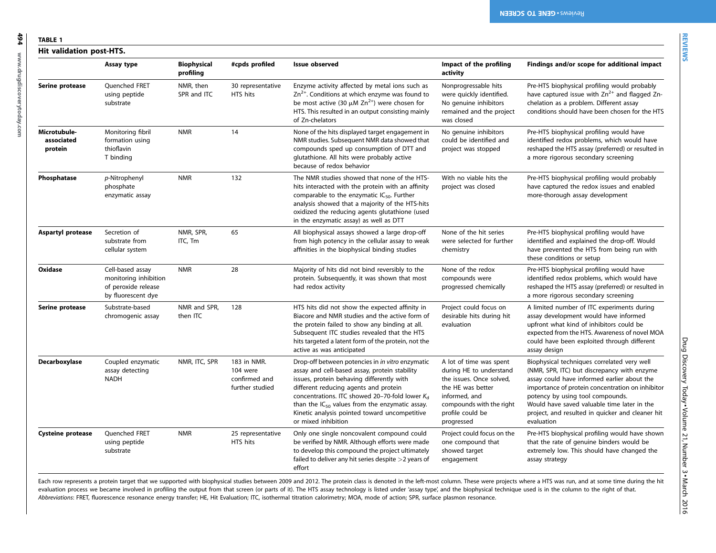## TABLE 1

## Hit validation post-HTS.

|                                       | Assay type                                                                             | <b>Biophysical</b><br>profiling | #cpds profiled                                              | Issue observed                                                                                                                                                                                                                                                                                                                                                              | Impact of the profiling<br>activity                                                                                                                                                | Findings and/or scope for additional impact                                                                                                                                                                                                                                                                                                        |
|---------------------------------------|----------------------------------------------------------------------------------------|---------------------------------|-------------------------------------------------------------|-----------------------------------------------------------------------------------------------------------------------------------------------------------------------------------------------------------------------------------------------------------------------------------------------------------------------------------------------------------------------------|------------------------------------------------------------------------------------------------------------------------------------------------------------------------------------|----------------------------------------------------------------------------------------------------------------------------------------------------------------------------------------------------------------------------------------------------------------------------------------------------------------------------------------------------|
| Serine protease                       | <b>Ouenched FRET</b><br>using peptide<br>substrate                                     | NMR, then<br>SPR and ITC        | 30 representative<br>HTS hits                               | Enzyme activity affected by metal ions such as<br>$Zn^{2+}$ . Conditions at which enzyme was found to<br>be most active (30 $\mu$ M Zn <sup>2+</sup> ) were chosen for<br>HTS. This resulted in an output consisting mainly<br>of Zn-chelators                                                                                                                              | Nonprogressable hits<br>were quickly identified.<br>No genuine inhibitors<br>remained and the project<br>was closed                                                                | Pre-HTS biophysical profiling would probably<br>have captured issue with $Zn^{2+}$ and flagged $Zn-$<br>chelation as a problem. Different assay<br>conditions should have been chosen for the HTS                                                                                                                                                  |
| Microtubule-<br>associated<br>protein | Monitoring fibril<br>formation using<br>thioflavin<br>T binding                        | <b>NMR</b>                      | 14                                                          | None of the hits displayed target engagement in<br>NMR studies. Subsequent NMR data showed that<br>compounds sped up consumption of DTT and<br>glutathione. All hits were probably active<br>because of redox behavior                                                                                                                                                      | No genuine inhibitors<br>could be identified and<br>project was stopped                                                                                                            | Pre-HTS biophysical profiling would have<br>identified redox problems, which would have<br>reshaped the HTS assay (preferred) or resulted in<br>a more rigorous secondary screening                                                                                                                                                                |
| Phosphatase                           | p-Nitrophenyl<br>phosphate<br>enzymatic assay                                          | <b>NMR</b>                      | 132                                                         | The NMR studies showed that none of the HTS-<br>hits interacted with the protein with an affinity<br>comparable to the enzymatic $IC_{50}$ . Further<br>analysis showed that a majority of the HTS-hits<br>oxidized the reducing agents glutathione (used<br>in the enzymatic assay) as well as DTT                                                                         | With no viable hits the<br>project was closed                                                                                                                                      | Pre-HTS biophysical profiling would probably<br>have captured the redox issues and enabled<br>more-thorough assay development                                                                                                                                                                                                                      |
| Aspartyl protease                     | Secretion of<br>substrate from<br>cellular system                                      | NMR, SPR,<br>ITC, Tm            | 65                                                          | All biophysical assays showed a large drop-off<br>from high potency in the cellular assay to weak<br>affinities in the biophysical binding studies                                                                                                                                                                                                                          | None of the hit series<br>were selected for further<br>chemistry                                                                                                                   | Pre-HTS biophysical profiling would have<br>identified and explained the drop-off. Would<br>have prevented the HTS from being run with<br>these conditions or setup                                                                                                                                                                                |
| <b>Oxidase</b>                        | Cell-based assay<br>monitoring inhibition<br>of peroxide release<br>by fluorescent dye | <b>NMR</b>                      | 28                                                          | Majority of hits did not bind reversibly to the<br>protein. Subsequently, it was shown that most<br>had redox activity                                                                                                                                                                                                                                                      | None of the redox<br>compounds were<br>progressed chemically                                                                                                                       | Pre-HTS biophysical profiling would have<br>identified redox problems, which would have<br>reshaped the HTS assay (preferred) or resulted in<br>a more rigorous secondary screening                                                                                                                                                                |
| Serine protease                       | Substrate-based<br>chromogenic assay                                                   | NMR and SPR,<br>then ITC        | 128                                                         | HTS hits did not show the expected affinity in<br>Biacore and NMR studies and the active form of<br>the protein failed to show any binding at all.<br>Subsequent ITC studies revealed that the HTS<br>hits targeted a latent form of the protein, not the<br>active as was anticipated                                                                                      | Project could focus on<br>desirable hits during hit<br>evaluation                                                                                                                  | A limited number of ITC experiments during<br>assay development would have informed<br>upfront what kind of inhibitors could be<br>expected from the HTS. Awareness of novel MOA<br>could have been exploited through different<br>assay design                                                                                                    |
| Decarboxylase                         | Coupled enzymatic<br>assay detecting<br><b>NADH</b>                                    | NMR, ITC, SPR                   | 183 in NMR.<br>104 were<br>confirmed and<br>further studied | Drop-off between potencies in in vitro enzymatic<br>assay and cell-based assay, protein stability<br>issues, protein behaving differently with<br>different reducing agents and protein<br>concentrations. ITC showed 20-70-fold lower $K_d$<br>than the $IC_{50}$ values from the enzymatic assay.<br>Kinetic analysis pointed toward uncompetitive<br>or mixed inhibition | A lot of time was spent<br>during HE to understand<br>the issues. Once solved,<br>the HE was better<br>informed, and<br>compounds with the right<br>profile could be<br>progressed | Biophysical techniques correlated very well<br>(NMR, SPR, ITC) but discrepancy with enzyme<br>assay could have informed earlier about the<br>importance of protein concentration on inhibitor<br>potency by using tool compounds.<br>Would have saved valuable time later in the<br>project, and resulted in quicker and cleaner hit<br>evaluation |
| <b>Cysteine protease</b>              | Quenched FRET<br>using peptide<br>substrate                                            | <b>NMR</b>                      | 25 representative<br>HTS hits                               | Only one single noncovalent compound could<br>be verified by NMR. Although efforts were made<br>to develop this compound the project ultimately<br>failed to deliver any hit series despite >2 years of<br>effort                                                                                                                                                           | Project could focus on the<br>one compound that<br>showed target<br>engagement                                                                                                     | Pre-HTS biophysical profiling would have shown<br>that the rate of genuine binders would be<br>extremely low. This should have changed the<br>assay strategy                                                                                                                                                                                       |

Each row represents a protein target that we supported with biophysical studies between 2009 and 2012. The protein class is denoted in the left-most column. These were projects where a HTS was run, and at some time during evaluation process we became involved in profiling the output from that screen (or parts of it). The HTS assay technology is listed under 'assay type', and the biophysical technique used is in the column to the right of th Abbreviations: FRET, fluorescence resonance energy transfer; HE, Hit Evaluation; ITC, isothermal titration calorimetry; MOA, mode of action; SPR, surface plasmon resonance.

<span id="page-3-0"></span>494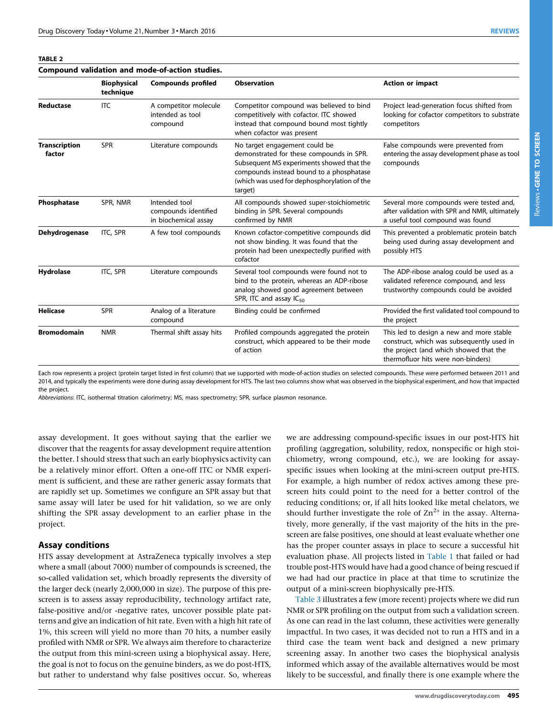<span id="page-4-0"></span>TABLE 2

| Compound validation and mode-of-action studies. |                                  |                                                               |                                                                                                                                                                                                                               |                                                                                                                                                                       |  |  |
|-------------------------------------------------|----------------------------------|---------------------------------------------------------------|-------------------------------------------------------------------------------------------------------------------------------------------------------------------------------------------------------------------------------|-----------------------------------------------------------------------------------------------------------------------------------------------------------------------|--|--|
|                                                 | <b>Biophysical</b><br>technique  | <b>Compounds profiled</b>                                     | <b>Observation</b>                                                                                                                                                                                                            | <b>Action or impact</b>                                                                                                                                               |  |  |
| Reductase                                       | <b>ITC</b>                       | A competitor molecule<br>intended as tool<br>compound         | Competitor compound was believed to bind<br>competitively with cofactor. ITC showed<br>instead that compound bound most tightly<br>when cofactor was present                                                                  | Project lead-generation focus shifted from<br>looking for cofactor competitors to substrate<br>competitors                                                            |  |  |
| <b>Transcription</b><br>factor                  | <b>SPR</b>                       | Literature compounds                                          | No target engagement could be<br>demonstrated for these compounds in SPR.<br>Subsequent MS experiments showed that the<br>compounds instead bound to a phosphatase<br>(which was used for dephosphorylation of the<br>target) | False compounds were prevented from<br>entering the assay development phase as tool<br>compounds                                                                      |  |  |
| Phosphatase                                     | SPR, NMR                         | Intended tool<br>compounds identified<br>in biochemical assay | All compounds showed super-stoichiometric<br>binding in SPR. Several compounds<br>confirmed by NMR                                                                                                                            | Several more compounds were tested and,<br>after validation with SPR and NMR, ultimately<br>a useful tool compound was found                                          |  |  |
| Dehydrogenase                                   | ITC, SPR                         | A few tool compounds                                          | Known cofactor-competitive compounds did<br>not show binding. It was found that the<br>protein had been unexpectedly purified with<br>cofactor                                                                                | This prevented a problematic protein batch<br>being used during assay development and<br>possibly HTS                                                                 |  |  |
| <b>Hydrolase</b>                                | ITC, SPR<br>Literature compounds |                                                               | Several tool compounds were found not to<br>bind to the protein, whereas an ADP-ribose<br>analog showed good agreement between<br>SPR, ITC and assay $IC_{50}$                                                                | The ADP-ribose analog could be used as a<br>validated reference compound, and less<br>trustworthy compounds could be avoided                                          |  |  |
| <b>Helicase</b>                                 | <b>SPR</b>                       | Analog of a literature<br>compound                            | Binding could be confirmed                                                                                                                                                                                                    | Provided the first validated tool compound to<br>the project                                                                                                          |  |  |
| <b>Bromodomain</b>                              | <b>NMR</b>                       | Thermal shift assay hits                                      | Profiled compounds aggregated the protein<br>construct, which appeared to be their mode<br>of action                                                                                                                          | This led to design a new and more stable<br>construct, which was subsequently used in<br>the project (and which showed that the<br>thermofluor hits were non-binders) |  |  |

Each row represents a project (protein target listed in first column) that we supported with mode-of-action studies on selected compounds. These were performed between 2011 and 2014, and typically the experiments were done during assay development for HTS. The last two columns show what was observed in the biophysical experiment, and how that impacted the project.

Abbreviations: ITC, isothermal titration calorimetry; MS, mass spectrometry; SPR, surface plasmon resonance.

assay development. It goes without saying that the earlier we discover that the reagents for assay development require attention the better. I should stress that such an early biophysics activity can be a relatively minor effort. Often a one-off ITC or NMR experiment is sufficient, and these are rather generic assay formats that are rapidly set up. Sometimes we configure an SPR assay but that same assay will later be used for hit validation, so we are only shifting the SPR assay development to an earlier phase in the project.

## Assay conditions

HTS assay development at AstraZeneca typically involves a step where a small (about 7000) number of compounds is screened, the so-called validation set, which broadly represents the diversity of the larger deck (nearly 2,000,000 in size). The purpose of this prescreen is to assess assay reproducibility, technology artifact rate, false-positive and/or -negative rates, uncover possible plate patterns and give an indication of hit rate. Even with a high hit rate of 1%, this screen will yield no more than 70 hits, a number easily profiled with NMR or SPR. We always aim therefore to characterize the output from this mini-screen using a biophysical assay. Here, the goal is not to focus on the genuine binders, as we do post-HTS, but rather to understand why false positives occur. So, whereas

we are addressing compound-specific issues in our post-HTS hit profiling (aggregation, solubility, redox, nonspecific or high stoichiometry, wrong compound, etc.), we are looking for assayspecific issues when looking at the mini-screen output pre-HTS. For example, a high number of redox actives among these prescreen hits could point to the need for a better control of the reducing conditions; or, if all hits looked like metal chelators, we should further investigate the role of  $\text{Zn}^{2+}$  in the assay. Alternatively, more generally, if the vast majority of the hits in the prescreen are false positives, one should at least evaluate whether one has the proper counter assays in place to secure a successful hit evaluation phase. All projects listed in [Table](#page-3-0) 1 that failed or had trouble post-HTS would have had a good chance of being rescued if we had had our practice in place at that time to scrutinize the output of a mini-screen biophysically pre-HTS.

[Table](#page-5-0) 3 illustrates a few (more recent) projects where we did run NMR or SPR profiling on the output from such a validation screen. As one can read in the last column, these activities were generally impactful. In two cases, it was decided not to run a HTS and in a third case the team went back and designed a new primary screening assay. In another two cases the biophysical analysis informed which assay of the available alternatives would be most likely to be successful, and finally there is one example where the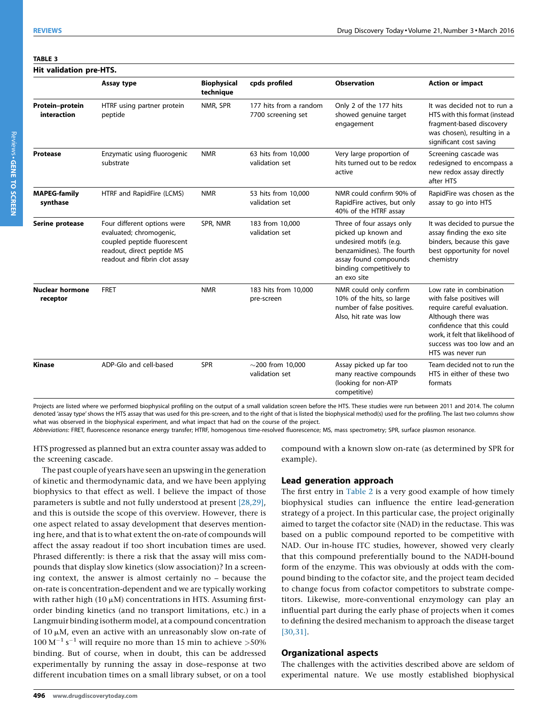## <span id="page-5-0"></span>TABLE 3

| Hit validation pre-HTS.            |                                                                                                                                                      |                                 |                                              |                                                                                                                                                                             |                                                                                                                                                                                                                                |  |  |
|------------------------------------|------------------------------------------------------------------------------------------------------------------------------------------------------|---------------------------------|----------------------------------------------|-----------------------------------------------------------------------------------------------------------------------------------------------------------------------------|--------------------------------------------------------------------------------------------------------------------------------------------------------------------------------------------------------------------------------|--|--|
|                                    | Assay type                                                                                                                                           | <b>Biophysical</b><br>technique | cpds profiled                                | <b>Observation</b>                                                                                                                                                          | <b>Action or impact</b>                                                                                                                                                                                                        |  |  |
| Protein-protein<br>interaction     | HTRF using partner protein<br>peptide                                                                                                                | NMR, SPR                        | 177 hits from a random<br>7700 screening set | Only 2 of the 177 hits<br>showed genuine target<br>engagement                                                                                                               | It was decided not to run a<br>HTS with this format (instead<br>fragment-based discovery<br>was chosen), resulting in a<br>significant cost saving                                                                             |  |  |
| <b>Protease</b>                    | Enzymatic using fluorogenic<br>substrate                                                                                                             | <b>NMR</b>                      | 63 hits from 10,000<br>validation set        | Very large proportion of<br>hits turned out to be redox<br>active                                                                                                           | Screening cascade was<br>redesigned to encompass a<br>new redox assay directly<br>after HTS                                                                                                                                    |  |  |
| <b>MAPEG-family</b><br>synthase    | HTRF and RapidFire (LCMS)                                                                                                                            | <b>NMR</b>                      | 53 hits from 10,000<br>validation set        | NMR could confirm 90% of<br>RapidFire actives, but only<br>40% of the HTRF assay                                                                                            | RapidFire was chosen as the<br>assay to go into HTS                                                                                                                                                                            |  |  |
| Serine protease                    | Four different options were<br>evaluated; chromogenic,<br>coupled peptide fluorescent<br>readout, direct peptide MS<br>readout and fibrin clot assay | SPR, NMR                        | 183 from 10,000<br>validation set            | Three of four assays only<br>picked up known and<br>undesired motifs (e.g.<br>benzamidines). The fourth<br>assay found compounds<br>binding competitively to<br>an exo site | It was decided to pursue the<br>assay finding the exo site<br>binders, because this gave<br>best opportunity for novel<br>chemistry                                                                                            |  |  |
| <b>Nuclear hormone</b><br>receptor | <b>FRET</b>                                                                                                                                          | <b>NMR</b>                      | 183 hits from 10,000<br>pre-screen           | NMR could only confirm<br>10% of the hits, so large<br>number of false positives.<br>Also, hit rate was low                                                                 | Low rate in combination<br>with false positives will<br>require careful evaluation.<br>Although there was<br>confidence that this could<br>work, it felt that likelihood of<br>success was too low and an<br>HTS was never run |  |  |
| <b>Kinase</b>                      | ADP-Glo and cell-based                                                                                                                               | <b>SPR</b>                      | $\sim$ 200 from 10,000<br>validation set     | Assay picked up far too<br>many reactive compounds<br>(looking for non-ATP<br>competitive)                                                                                  | Team decided not to run the<br>HTS in either of these two<br>formats                                                                                                                                                           |  |  |

Projects are listed where we performed biophysical profiling on the output of a small validation screen before the HTS. These studies were run between 2011 and 2014. The column denoted 'assay type'shows the HTS assay that was used for this pre-screen, and to the right of that is listed the biophysical method(s) used for the profiling. The last two columns show what was observed in the biophysical experiment, and what impact that had on the course of the project.

Abbreviations: FRET, fluorescence resonance energy transfer; HTRF, homogenous time-resolved fluorescence; MS, mass spectrometry; SPR, surface plasmon resonance.

HTS progressed as planned but an extra counter assay was added to the screening cascade.

The past couple of years have seen an upswing in the generation of kinetic and thermodynamic data, and we have been applying biophysics to that effect as well. I believe the impact of those parameters is subtle and not fully understood at present [\[28,29\]](#page-7-0), and this is outside the scope of this overview. However, there is one aspect related to assay development that deserves mentioning here, and that is to what extent the on-rate of compounds will affect the assay readout if too short incubation times are used. Phrased differently: is there a risk that the assay will miss compounds that display slow kinetics (slow association)? In a screening context, the answer is almost certainly no – because the on-rate is concentration-dependent and we are typically working with rather high (10  $\mu$ M) concentrations in HTS. Assuming firstorder binding kinetics (and no transport limitations, etc.) in a Langmuir binding isotherm model, at a compound concentration of 10  $\mu$ M, even an active with an unreasonably slow on-rate of  $100 \text{ M}^{-1} \text{ s}^{-1}$  will require no more than 15 min to achieve  $>$ 50% binding. But of course, when in doubt, this can be addressed experimentally by running the assay in dose–response at two different incubation times on a small library subset, or on a tool

compound with a known slow on-rate (as determined by SPR for example).

## Lead generation approach

The first entry in [Table](#page-4-0) 2 is a very good example of how timely biophysical studies can influence the entire lead-generation strategy of a project. In this particular case, the project originally aimed to target the cofactor site (NAD) in the reductase. This was based on a public compound reported to be competitive with NAD. Our in-house ITC studies, however, showed very clearly that this compound preferentially bound to the NADH-bound form of the enzyme. This was obviously at odds with the compound binding to the cofactor site, and the project team decided to change focus from cofactor competitors to substrate competitors. Likewise, more-conventional enzymology can play an influential part during the early phase of projects when it comes to defining the desired mechanism to approach the disease target [\[30,31\]](#page-7-0).

## Organizational aspects

The challenges with the activities described above are seldom of experimental nature. We use mostly established biophysical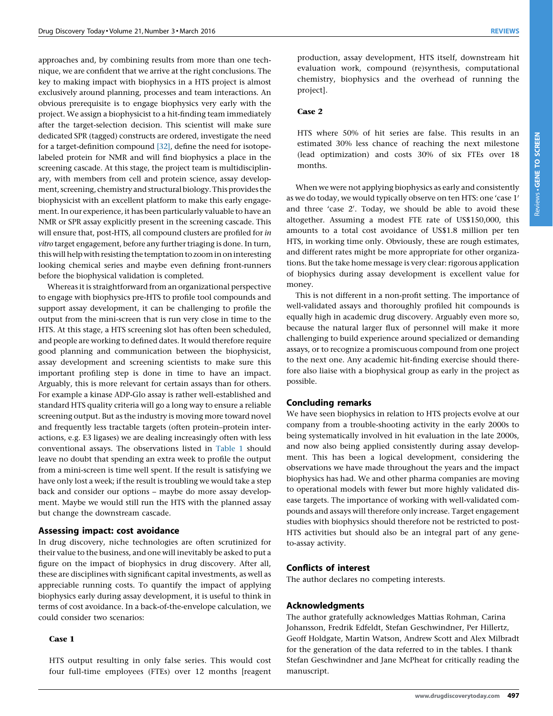approaches and, by combining results from more than one technique, we are confident that we arrive at the right conclusions. The key to making impact with biophysics in a HTS project is almost exclusively around planning, processes and team interactions. An obvious prerequisite is to engage biophysics very early with the project. We assign a biophysicist to a hit-finding team immediately after the target-selection decision. This scientist will make sure dedicated SPR (tagged) constructs are ordered, investigate the need for a target-definition compound [\[32\],](#page-7-0) define the need for isotopelabeled protein for NMR and will find biophysics a place in the screening cascade. At this stage, the project team is multidisciplinary, with members from cell and protein science, assay development, screening, chemistry and structural biology. This provides the biophysicist with an excellent platform to make this early engagement. In our experience, it has been particularly valuable to have an NMR or SPR assay explicitly present in the screening cascade. This will ensure that, post-HTS, all compound clusters are profiled for in vitro target engagement, before any further triaging is done. In turn, this will help with resisting the temptation to zoom in on interesting looking chemical series and maybe even defining front-runners before the biophysical validation is completed.

Whereas it is straightforward from an organizational perspective to engage with biophysics pre-HTS to profile tool compounds and support assay development, it can be challenging to profile the output from the mini-screen that is run very close in time to the HTS. At this stage, a HTS screening slot has often been scheduled, and people are working to defined dates. It would therefore require good planning and communication between the biophysicist, assay development and screening scientists to make sure this important profiling step is done in time to have an impact. Arguably, this is more relevant for certain assays than for others. For example a kinase ADP-Glo assay is rather well-established and standard HTS quality criteria will go a long way to ensure a reliable screening output. But as the industry is moving more toward novel and frequently less tractable targets (often protein–protein interactions, e.g. E3 ligases) we are dealing increasingly often with less conventional assays. The observations listed in [Table](#page-3-0) 1 should leave no doubt that spending an extra week to profile the output from a mini-screen is time well spent. If the result is satisfying we have only lost a week; if the result is troubling we would take a step back and consider our options – maybe do more assay development. Maybe we would still run the HTS with the planned assay but change the downstream cascade.

## Assessing impact: cost avoidance

In drug discovery, niche technologies are often scrutinized for their value to the business, and one will inevitably be asked to put a figure on the impact of biophysics in drug discovery. After all, these are disciplines with significant capital investments, as well as appreciable running costs. To quantify the impact of applying biophysics early during assay development, it is useful to think in terms of cost avoidance. In a back-of-the-envelope calculation, we could consider two scenarios:

## Case 1

HTS output resulting in only false series. This would cost four full-time employees (FTEs) over 12 months [reagent

production, assay development, HTS itself, downstream hit evaluation work, compound (re)synthesis, computational chemistry, biophysics and the overhead of running the project].

## Case 2

HTS where 50% of hit series are false. This results in an estimated 30% less chance of reaching the next milestone (lead optimization) and costs 30% of six FTEs over 18 months.

When we were not applying biophysics as early and consistently as we do today, we would typically observe on ten HTS: one 'case 1' and three 'case 2'. Today, we should be able to avoid these altogether. Assuming a modest FTE rate of US\$150,000, this amounts to a total cost avoidance of US\$1.8 million per ten HTS, in working time only. Obviously, these are rough estimates, and different rates might be more appropriate for other organizations. But the take home message is very clear: rigorous application of biophysics during assay development is excellent value for money.

This is not different in a non-profit setting. The importance of well-validated assays and thoroughly profiled hit compounds is equally high in academic drug discovery. Arguably even more so, because the natural larger flux of personnel will make it more challenging to build experience around specialized or demanding assays, or to recognize a promiscuous compound from one project to the next one. Any academic hit-finding exercise should therefore also liaise with a biophysical group as early in the project as possible.

#### Concluding remarks

We have seen biophysics in relation to HTS projects evolve at our company from a trouble-shooting activity in the early 2000s to being systematically involved in hit evaluation in the late 2000s, and now also being applied consistently during assay development. This has been a logical development, considering the observations we have made throughout the years and the impact biophysics has had. We and other pharma companies are moving to operational models with fewer but more highly validated disease targets. The importance of working with well-validated compounds and assays will therefore only increase. Target engagement studies with biophysics should therefore not be restricted to post-HTS activities but should also be an integral part of any geneto-assay activity.

## Conflicts of interest

The author declares no competing interests.

## Acknowledgments

The author gratefully acknowledges Mattias Rohman, Carina Johansson, Fredrik Edfeldt, Stefan Geschwindner, Per Hillertz, Geoff Holdgate, Martin Watson, Andrew Scott and Alex Milbradt for the generation of the data referred to in the tables. I thank Stefan Geschwindner and Jane McPheat for critically reading the manuscript.